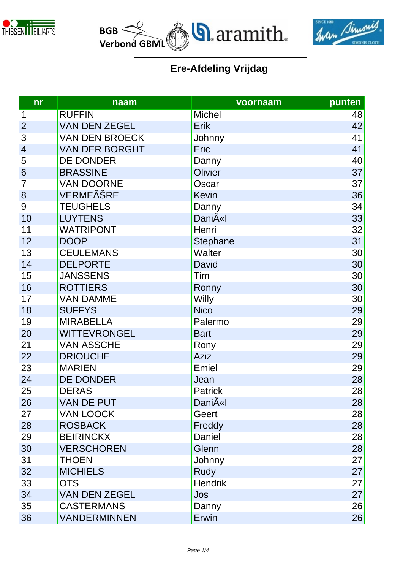





| n <b>r</b>               | naam                  | voornaam            | punten |
|--------------------------|-----------------------|---------------------|--------|
| 1                        | <b>RUFFIN</b>         | <b>Michel</b>       | 48     |
| $\overline{2}$           | <b>VAN DEN ZEGEL</b>  | Erik                | 42     |
| 3                        | <b>VAN DEN BROECK</b> | Johnny              | 41     |
| $\overline{\mathcal{A}}$ | <b>VAN DER BORGHT</b> | Eric                | 41     |
| 5                        | <b>DE DONDER</b>      | Danny               | 40     |
| 6                        | <b>BRASSINE</b>       | Olivier             | 37     |
| $\overline{7}$           | <b>VAN DOORNE</b>     | Oscar               | 37     |
| 8                        | VERMEÊRE              | <b>Kevin</b>        | 36     |
| 9                        | <b>TEUGHELS</b>       | Danny               | 34     |
| 10                       | <b>LUYTENS</b>        | DaniA«I             | 33     |
| 11                       | <b>WATRIPONT</b>      | Henri               | 32     |
| 12                       | <b>DOOP</b>           | Stephane            | 31     |
| 13                       | <b>CEULEMANS</b>      | <b>Walter</b>       | 30     |
| 14                       | <b>DELPORTE</b>       | David               | 30     |
| 15                       | <b>JANSSENS</b>       | Tim                 | 30     |
| 16                       | <b>ROTTIERS</b>       | Ronny               | 30     |
| 17                       | <b>VAN DAMME</b>      | Willy               | 30     |
| 18                       | <b>SUFFYS</b>         | <b>Nico</b>         | 29     |
| 19                       | <b>MIRABELLA</b>      | Palermo             | 29     |
| 20                       | <b>WITTEVRONGEL</b>   | <b>Bart</b>         | 29     |
| 21                       | <b>VAN ASSCHE</b>     | Rony                | 29     |
| 22                       | <b>DRIOUCHE</b>       | <b>Aziz</b>         | 29     |
| 23                       | <b>MARIEN</b>         | Emiel               | 29     |
| 24                       | <b>DE DONDER</b>      | Jean                | 28     |
| 25                       | <b>DERAS</b>          | <b>Patrick</b>      | 28     |
| 26                       | <b>VAN DE PUT</b>     | Dani $\tilde{A}$ «I | 28     |
| 27                       | <b>VAN LOOCK</b>      | Geert               | 28     |
| 28                       | <b>ROSBACK</b>        | Freddy              | 28     |
| 29                       | <b>BEIRINCKX</b>      | Daniel              | 28     |
| 30                       | <b>VERSCHOREN</b>     | Glenn               | 28     |
| 31                       | <b>THOEN</b>          | Johnny              | 27     |
| 32                       | <b>MICHIELS</b>       | Rudy                | 27     |
| 33                       | <b>OTS</b>            | <b>Hendrik</b>      | 27     |
| 34                       | <b>VAN DEN ZEGEL</b>  | Jos                 | 27     |
| 35                       | <b>CASTERMANS</b>     | Danny               | 26     |
| 36                       | <b>VANDERMINNEN</b>   | Erwin               | 26     |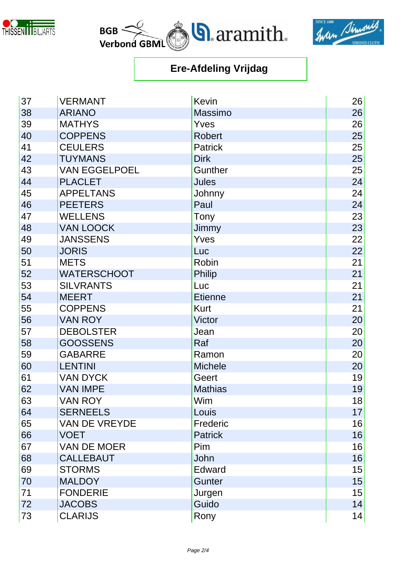





| 37 | <b>VERMANT</b>       | <b>Kevin</b>   | 26 |
|----|----------------------|----------------|----|
| 38 | <b>ARIANO</b>        | Massimo        | 26 |
| 39 | <b>MATHYS</b>        | Yves           | 26 |
| 40 | <b>COPPENS</b>       | <b>Robert</b>  | 25 |
| 41 | <b>CEULERS</b>       | <b>Patrick</b> | 25 |
| 42 | <b>TUYMANS</b>       | <b>Dirk</b>    | 25 |
| 43 | <b>VAN EGGELPOEL</b> | Gunther        | 25 |
| 44 | <b>PLACLET</b>       | <b>Jules</b>   | 24 |
| 45 | <b>APPELTANS</b>     | Johnny         | 24 |
| 46 | <b>PEETERS</b>       | Paul           | 24 |
| 47 | <b>WELLENS</b>       | Tony           | 23 |
| 48 | <b>VAN LOOCK</b>     | Jimmy          | 23 |
| 49 | <b>JANSSENS</b>      | Yves           | 22 |
| 50 | <b>JORIS</b>         | Luc            | 22 |
| 51 | <b>METS</b>          | Robin          | 21 |
| 52 | <b>WATERSCHOOT</b>   | <b>Philip</b>  | 21 |
| 53 | <b>SILVRANTS</b>     | Luc            | 21 |
| 54 | <b>MEERT</b>         | <b>Etienne</b> | 21 |
| 55 | <b>COPPENS</b>       | <b>Kurt</b>    | 21 |
| 56 | <b>VAN ROY</b>       | <b>Victor</b>  | 20 |
| 57 | <b>DEBOLSTER</b>     | Jean           | 20 |
| 58 | <b>GOOSSENS</b>      | Raf            | 20 |
| 59 | <b>GABARRE</b>       | Ramon          | 20 |
| 60 | <b>LENTINI</b>       | <b>Michele</b> | 20 |
| 61 | <b>VAN DYCK</b>      | Geert          | 19 |
| 62 | <b>VAN IMPE</b>      | <b>Mathias</b> | 19 |
| 63 | <b>VAN ROY</b>       | Wim            | 18 |
| 64 | <b>SERNEELS</b>      | Louis          | 17 |
| 65 | <b>VAN DE VREYDE</b> | Frederic       | 16 |
| 66 | <b>VOET</b>          | <b>Patrick</b> | 16 |
| 67 | <b>VAN DE MOER</b>   | Pim            | 16 |
| 68 | <b>CALLEBAUT</b>     | John           | 16 |
| 69 | <b>STORMS</b>        | Edward         | 15 |
| 70 | <b>MALDOY</b>        | <b>Gunter</b>  | 15 |
| 71 | <b>FONDERIE</b>      | Jurgen         | 15 |
| 72 | <b>JACOBS</b>        | Guido          | 14 |
| 73 | <b>CLARIJS</b>       | Rony           | 14 |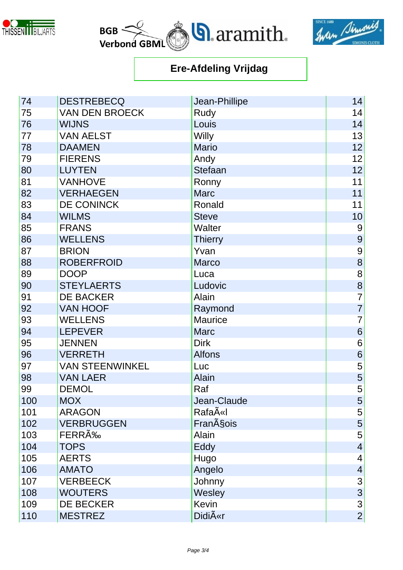





| 74  | <b>DESTREBECQ</b>      | Jean-Phillipe       | 14                      |
|-----|------------------------|---------------------|-------------------------|
| 75  | <b>VAN DEN BROECK</b>  | Rudy                | 14                      |
| 76  | <b>WIJNS</b>           | Louis               | 14                      |
| 77  | <b>VAN AELST</b>       | <b>Willy</b>        | 13                      |
| 78  | <b>DAAMEN</b>          | <b>Mario</b>        | 12                      |
| 79  | <b>FIERENS</b>         | Andy                | 12                      |
| 80  | <b>LUYTEN</b>          | <b>Stefaan</b>      | 12                      |
| 81  | <b>VANHOVE</b>         | Ronny               | 11                      |
| 82  | <b>VERHAEGEN</b>       | <b>Marc</b>         | 11                      |
| 83  | DE CONINCK             | Ronald              | 11                      |
| 84  | <b>WILMS</b>           | <b>Steve</b>        | 10                      |
| 85  | <b>FRANS</b>           | <b>Walter</b>       | $9\,$                   |
| 86  | <b>WELLENS</b>         | <b>Thierry</b>      | 9                       |
| 87  | <b>BRION</b>           | Yvan                | 9                       |
| 88  | <b>ROBERFROID</b>      | <b>Marco</b>        | 8                       |
| 89  | <b>DOOP</b>            | Luca                | $\overline{8}$          |
| 90  | <b>STEYLAERTS</b>      | Ludovic             | $\frac{8}{7}$           |
| 91  | <b>DE BACKER</b>       | Alain               |                         |
| 92  | <b>VAN HOOF</b>        | Raymond             | $\overline{7}$          |
| 93  | <b>WELLENS</b>         | Maurice             | $\overline{7}$          |
| 94  | <b>LEPEVER</b>         | <b>Marc</b>         | $\boldsymbol{6}$        |
| 95  | <b>JENNEN</b>          | <b>Dirk</b>         | $\,6$                   |
| 96  | <b>VERRETH</b>         | <b>Alfons</b>       | $\overline{6}$          |
| 97  | <b>VAN STEENWINKEL</b> | Luc                 | 5                       |
| 98  | <b>VAN LAER</b>        | Alain               | $\frac{5}{5}$           |
| 99  | <b>DEMOL</b>           | Raf                 |                         |
| 100 | <b>MOX</b>             | Jean-Claude         | $\vert 5 \vert$         |
| 101 | <b>ARAGON</b>          | RafaëI              | $\overline{5}$          |
| 102 | <b>VERBRUGGEN</b>      | Fran§ois            | 5                       |
| 103 | FERRÉ                  | Alain               | $\overline{5}$          |
| 104 | <b>TOPS</b>            | Eddy                | $\overline{\mathbf{4}}$ |
| 105 | <b>AERTS</b>           | Hugo                | 4                       |
| 106 | <b>AMATO</b>           | Angelo              | $\overline{4}$          |
| 107 | <b>VERBEECK</b>        | Johnny              | 3                       |
| 108 | <b>WOUTERS</b>         | Wesley              | $\overline{3}$          |
| 109 | <b>DE BECKER</b>       | <b>Kevin</b>        | $\overline{3}$          |
| 110 | <b>MESTREZ</b>         | Didi $\tilde{A}$ «r | $\overline{2}$          |